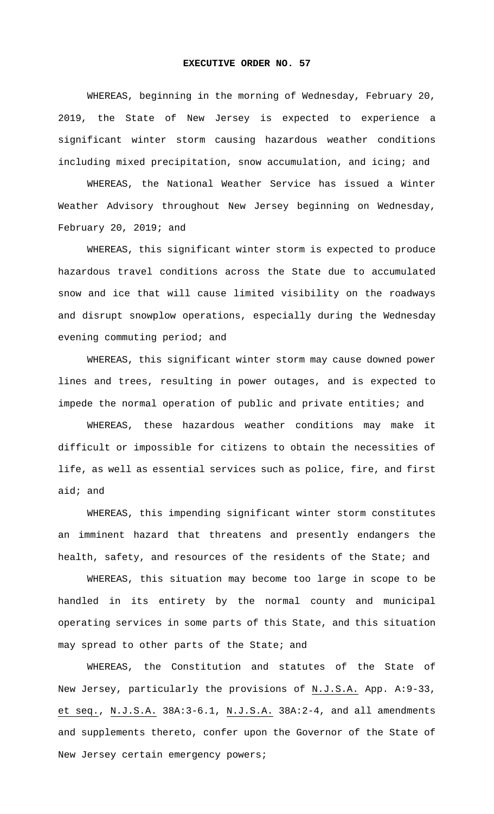## **EXECUTIVE ORDER NO. 57**

WHEREAS, beginning in the morning of Wednesday, February 20, 2019, the State of New Jersey is expected to experience a significant winter storm causing hazardous weather conditions including mixed precipitation, snow accumulation, and icing; and

WHEREAS, the National Weather Service has issued a Winter Weather Advisory throughout New Jersey beginning on Wednesday, February 20, 2019; and

WHEREAS, this significant winter storm is expected to produce hazardous travel conditions across the State due to accumulated snow and ice that will cause limited visibility on the roadways and disrupt snowplow operations, especially during the Wednesday evening commuting period; and

WHEREAS, this significant winter storm may cause downed power lines and trees, resulting in power outages, and is expected to impede the normal operation of public and private entities; and

WHEREAS, these hazardous weather conditions may make it difficult or impossible for citizens to obtain the necessities of life, as well as essential services such as police, fire, and first aid; and

WHEREAS, this impending significant winter storm constitutes an imminent hazard that threatens and presently endangers the health, safety, and resources of the residents of the State; and

WHEREAS, this situation may become too large in scope to be handled in its entirety by the normal county and municipal operating services in some parts of this State, and this situation may spread to other parts of the State; and

WHEREAS, the Constitution and statutes of the State of New Jersey, particularly the provisions of N.J.S.A. App. A:9-33, et seq., N.J.S.A. 38A:3-6.1, N.J.S.A. 38A:2-4, and all amendments and supplements thereto, confer upon the Governor of the State of New Jersey certain emergency powers;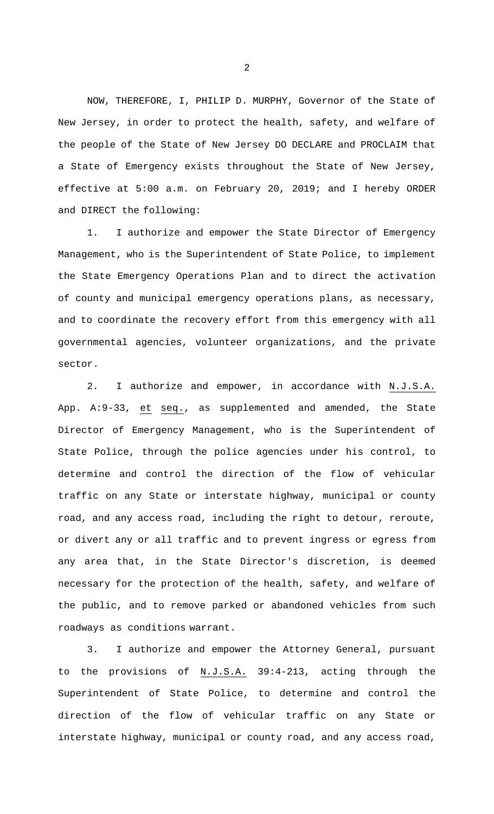NOW, THEREFORE, I, PHILIP D. MURPHY, Governor of the State of New Jersey, in order to protect the health, safety, and welfare of the people of the State of New Jersey DO DECLARE and PROCLAIM that a State of Emergency exists throughout the State of New Jersey, effective at 5:00 a.m. on February 20, 2019; and I hereby ORDER and DIRECT the following:

1. I authorize and empower the State Director of Emergency Management, who is the Superintendent of State Police, to implement the State Emergency Operations Plan and to direct the activation of county and municipal emergency operations plans, as necessary, and to coordinate the recovery effort from this emergency with all governmental agencies, volunteer organizations, and the private sector.

2. I authorize and empower, in accordance with N.J.S.A. App. A:9-33, et seq., as supplemented and amended, the State Director of Emergency Management, who is the Superintendent of State Police, through the police agencies under his control, to determine and control the direction of the flow of vehicular traffic on any State or interstate highway, municipal or county road, and any access road, including the right to detour, reroute, or divert any or all traffic and to prevent ingress or egress from any area that, in the State Director's discretion, is deemed necessary for the protection of the health, safety, and welfare of the public, and to remove parked or abandoned vehicles from such roadways as conditions warrant.

3. I authorize and empower the Attorney General, pursuant to the provisions of N.J.S.A. 39:4-213, acting through the Superintendent of State Police, to determine and control the direction of the flow of vehicular traffic on any State or interstate highway, municipal or county road, and any access road,

2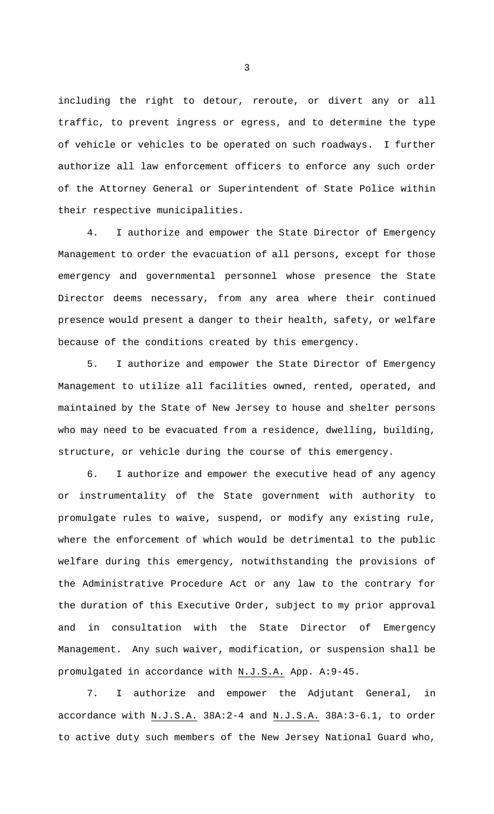including the right to detour, reroute, or divert any or all traffic, to prevent ingress or egress, and to determine the type of vehicle or vehicles to be operated on such roadways. I further authorize all law enforcement officers to enforce any such order of the Attorney General or Superintendent of State Police within their respective municipalities.

4. I authorize and empower the State Director of Emergency Management to order the evacuation of all persons, except for those emergency and governmental personnel whose presence the State Director deems necessary, from any area where their continued presence would present a danger to their health, safety, or welfare because of the conditions created by this emergency.

5. I authorize and empower the State Director of Emergency Management to utilize all facilities owned, rented, operated, and maintained by the State of New Jersey to house and shelter persons who may need to be evacuated from a residence, dwelling, building, structure, or vehicle during the course of this emergency.

6. I authorize and empower the executive head of any agency or instrumentality of the State government with authority to promulgate rules to waive, suspend, or modify any existing rule, where the enforcement of which would be detrimental to the public welfare during this emergency, notwithstanding the provisions of the Administrative Procedure Act or any law to the contrary for the duration of this Executive Order, subject to my prior approval and in consultation with the State Director of Emergency Management. Any such waiver, modification, or suspension shall be promulgated in accordance with N.J.S.A. App. A:9-45.

7. I authorize and empower the Adjutant General, in accordance with N.J.S.A. 38A:2-4 and N.J.S.A. 38A:3-6.1, to order to active duty such members of the New Jersey National Guard who,

3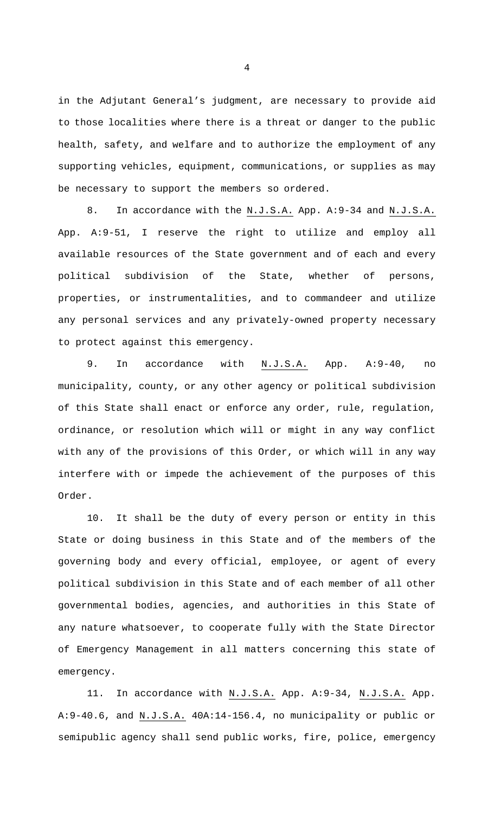in the Adjutant General's judgment, are necessary to provide aid to those localities where there is a threat or danger to the public health, safety, and welfare and to authorize the employment of any supporting vehicles, equipment, communications, or supplies as may be necessary to support the members so ordered.

8. In accordance with the N.J.S.A. App. A:9-34 and N.J.S.A. App. A:9-51, I reserve the right to utilize and employ all available resources of the State government and of each and every political subdivision of the State, whether of persons, properties, or instrumentalities, and to commandeer and utilize any personal services and any privately-owned property necessary to protect against this emergency.

9. In accordance with N.J.S.A. App. A:9-40, no municipality, county, or any other agency or political subdivision of this State shall enact or enforce any order, rule, regulation, ordinance, or resolution which will or might in any way conflict with any of the provisions of this Order, or which will in any way interfere with or impede the achievement of the purposes of this Order.

10. It shall be the duty of every person or entity in this State or doing business in this State and of the members of the governing body and every official, employee, or agent of every political subdivision in this State and of each member of all other governmental bodies, agencies, and authorities in this State of any nature whatsoever, to cooperate fully with the State Director of Emergency Management in all matters concerning this state of emergency.

11. In accordance with N.J.S.A. App. A:9-34, N.J.S.A. App. A:9-40.6, and N.J.S.A. 40A:14-156.4, no municipality or public or semipublic agency shall send public works, fire, police, emergency

4